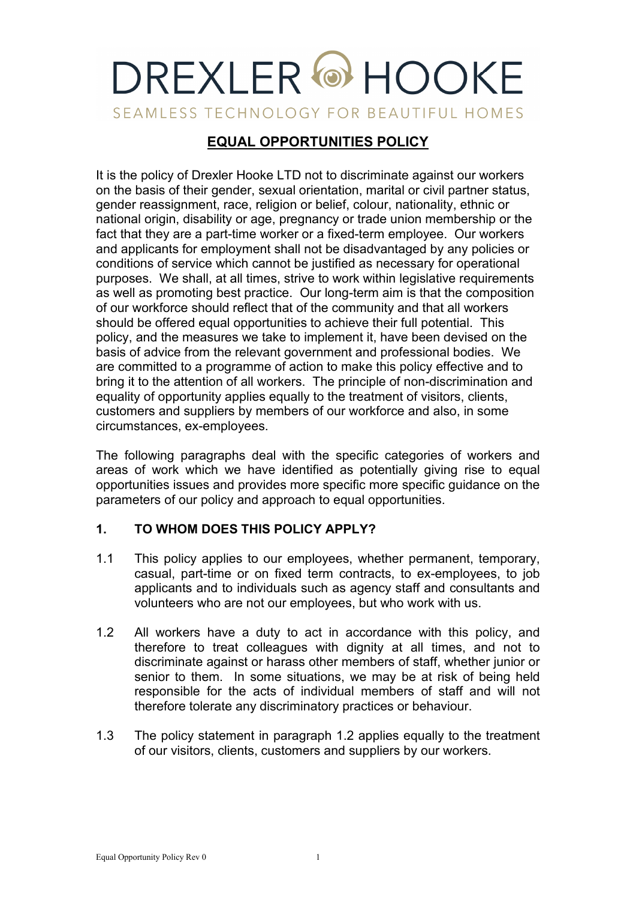# DREXLER<sup>®</sup> HOOKE SEAMLESS TECHNOLOGY FOR BEAUTIFUL HOMES

# **EQUAL OPPORTUNITIES POLICY**

It is the policy of Drexler Hooke LTD not to discriminate against our workers on the basis of their gender, sexual orientation, marital or civil partner status, gender reassignment, race, religion or belief, colour, nationality, ethnic or national origin, disability or age, pregnancy or trade union membership or the fact that they are a part-time worker or a fixed-term employee. Our workers and applicants for employment shall not be disadvantaged by any policies or conditions of service which cannot be justified as necessary for operational purposes. We shall, at all times, strive to work within legislative requirements as well as promoting best practice. Our long-term aim is that the composition of our workforce should reflect that of the community and that all workers should be offered equal opportunities to achieve their full potential. This policy, and the measures we take to implement it, have been devised on the basis of advice from the relevant government and professional bodies. We are committed to a programme of action to make this policy effective and to bring it to the attention of all workers. The principle of non-discrimination and equality of opportunity applies equally to the treatment of visitors, clients, customers and suppliers by members of our workforce and also, in some circumstances, ex-employees.

The following paragraphs deal with the specific categories of workers and areas of work which we have identified as potentially giving rise to equal opportunities issues and provides more specific more specific guidance on the parameters of our policy and approach to equal opportunities.

# **1. TO WHOM DOES THIS POLICY APPLY?**

- 1.1 This policy applies to our employees, whether permanent, temporary, casual, part-time or on fixed term contracts, to ex-employees, to job applicants and to individuals such as agency staff and consultants and volunteers who are not our employees, but who work with us.
- 1.2 All workers have a duty to act in accordance with this policy, and therefore to treat colleagues with dignity at all times, and not to discriminate against or harass other members of staff, whether junior or senior to them. In some situations, we may be at risk of being held responsible for the acts of individual members of staff and will not therefore tolerate any discriminatory practices or behaviour.
- 1.3 The policy statement in paragraph 1.2 applies equally to the treatment of our visitors, clients, customers and suppliers by our workers.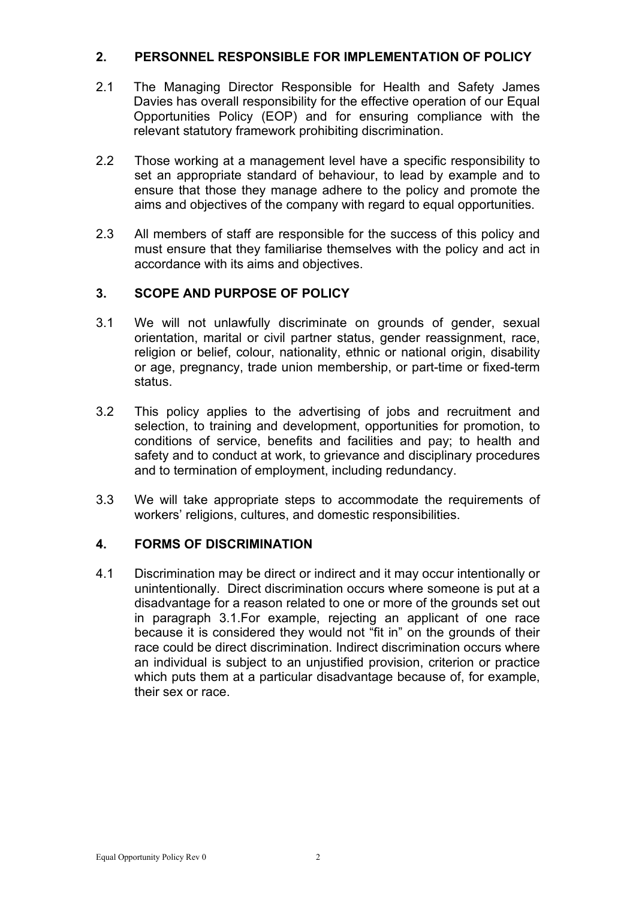#### **2. PERSONNEL RESPONSIBLE FOR IMPLEMENTATION OF POLICY**

- 2.1 The Managing Director Responsible for Health and Safety James Davies has overall responsibility for the effective operation of our Equal Opportunities Policy (EOP) and for ensuring compliance with the relevant statutory framework prohibiting discrimination.
- 2.2 Those working at a management level have a specific responsibility to set an appropriate standard of behaviour, to lead by example and to ensure that those they manage adhere to the policy and promote the aims and objectives of the company with regard to equal opportunities.
- 2.3 All members of staff are responsible for the success of this policy and must ensure that they familiarise themselves with the policy and act in accordance with its aims and objectives.

## **3. SCOPE AND PURPOSE OF POLICY**

- 3.1 We will not unlawfully discriminate on grounds of gender, sexual orientation, marital or civil partner status, gender reassignment, race, religion or belief, colour, nationality, ethnic or national origin, disability or age, pregnancy, trade union membership, or part-time or fixed-term status.
- 3.2 This policy applies to the advertising of jobs and recruitment and selection, to training and development, opportunities for promotion, to conditions of service, benefits and facilities and pay; to health and safety and to conduct at work, to grievance and disciplinary procedures and to termination of employment, including redundancy.
- 3.3 We will take appropriate steps to accommodate the requirements of workers' religions, cultures, and domestic responsibilities.

#### **4. FORMS OF DISCRIMINATION**

4.1 Discrimination may be direct or indirect and it may occur intentionally or unintentionally. Direct discrimination occurs where someone is put at a disadvantage for a reason related to one or more of the grounds set out in paragraph 3.1.For example, rejecting an applicant of one race because it is considered they would not "fit in" on the grounds of their race could be direct discrimination. Indirect discrimination occurs where an individual is subject to an unjustified provision, criterion or practice which puts them at a particular disadvantage because of, for example, their sex or race.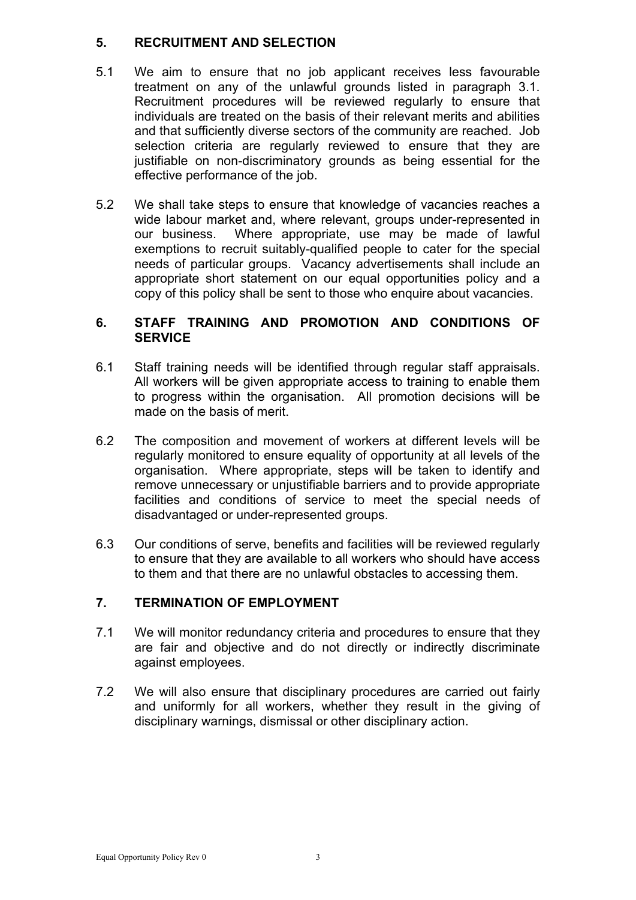#### **5. RECRUITMENT AND SELECTION**

- 5.1 We aim to ensure that no job applicant receives less favourable treatment on any of the unlawful grounds listed in paragraph 3.1. Recruitment procedures will be reviewed regularly to ensure that individuals are treated on the basis of their relevant merits and abilities and that sufficiently diverse sectors of the community are reached. Job selection criteria are regularly reviewed to ensure that they are justifiable on non-discriminatory grounds as being essential for the effective performance of the job.
- 5.2 We shall take steps to ensure that knowledge of vacancies reaches a wide labour market and, where relevant, groups under-represented in our business. Where appropriate, use may be made of lawful exemptions to recruit suitably-qualified people to cater for the special needs of particular groups. Vacancy advertisements shall include an appropriate short statement on our equal opportunities policy and a copy of this policy shall be sent to those who enquire about vacancies.

#### **6. STAFF TRAINING AND PROMOTION AND CONDITIONS OF SERVICE**

- 6.1 Staff training needs will be identified through regular staff appraisals. All workers will be given appropriate access to training to enable them to progress within the organisation. All promotion decisions will be made on the basis of merit.
- 6.2 The composition and movement of workers at different levels will be regularly monitored to ensure equality of opportunity at all levels of the organisation. Where appropriate, steps will be taken to identify and remove unnecessary or unjustifiable barriers and to provide appropriate facilities and conditions of service to meet the special needs of disadvantaged or under-represented groups.
- 6.3 Our conditions of serve, benefits and facilities will be reviewed regularly to ensure that they are available to all workers who should have access to them and that there are no unlawful obstacles to accessing them.

#### **7. TERMINATION OF EMPLOYMENT**

- 7.1 We will monitor redundancy criteria and procedures to ensure that they are fair and objective and do not directly or indirectly discriminate against employees.
- 7.2 We will also ensure that disciplinary procedures are carried out fairly and uniformly for all workers, whether they result in the giving of disciplinary warnings, dismissal or other disciplinary action.